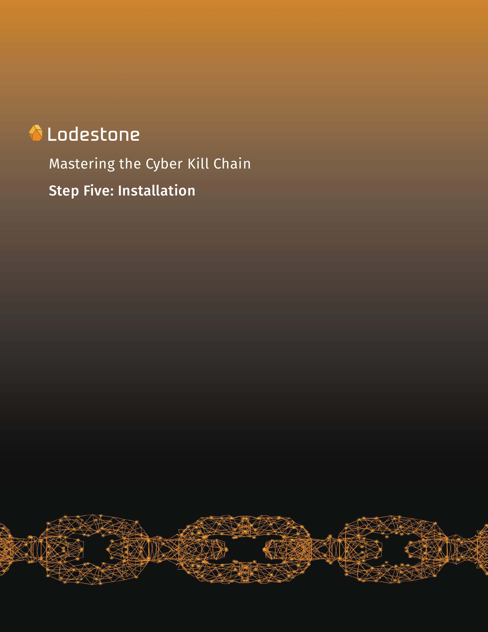# **A** Lodestone

Mastering the Cyber Kill Chain Step Five: Installation

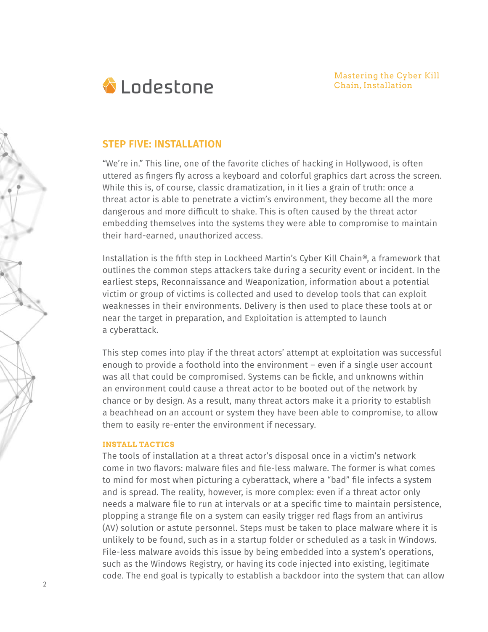Mastering the Cyber Kill Chain, Installation



# **STEP FIVE: INSTALLATION**

"We're in." This line, one of the favorite cliches of hacking in Hollywood, is often uttered as fingers fly across a keyboard and colorful graphics dart across the screen. While this is, of course, classic dramatization, in it lies a grain of truth: once a threat actor is able to penetrate a victim's environment, they become all the more dangerous and more difficult to shake. This is often caused by the threat actor embedding themselves into the systems they were able to compromise to maintain their hard-earned, unauthorized access.

Installation is the fifth step in Lockheed Martin's Cyber Kill Chain®, a framework that outlines the common steps attackers take during a security event or incident. In the earliest steps, Reconnaissance and Weaponization, information about a potential victim or group of victims is collected and used to develop tools that can exploit weaknesses in their environments. Delivery is then used to place these tools at or near the target in preparation, and Exploitation is attempted to launch a cyberattack.

This step comes into play if the threat actors' attempt at exploitation was successful enough to provide a foothold into the environment – even if a single user account was all that could be compromised. Systems can be fickle, and unknowns within an environment could cause a threat actor to be booted out of the network by chance or by design. As a result, many threat actors make it a priority to establish a beachhead on an account or system they have been able to compromise, to allow them to easily re-enter the environment if necessary.

### **INSTALL TACTICS**

The tools of installation at a threat actor's disposal once in a victim's network come in two flavors: malware files and file-less malware. The former is what comes to mind for most when picturing a cyberattack, where a "bad" file infects a system and is spread. The reality, however, is more complex: even if a threat actor only needs a malware file to run at intervals or at a specific time to maintain persistence, plopping a strange file on a system can easily trigger red flags from an antivirus (AV) solution or astute personnel. Steps must be taken to place malware where it is unlikely to be found, such as in a startup folder or scheduled as a task in Windows. File-less malware avoids this issue by being embedded into a system's operations, such as the Windows Registry, or having its code injected into existing, legitimate code. The end goal is typically to establish a backdoor into the system that can allow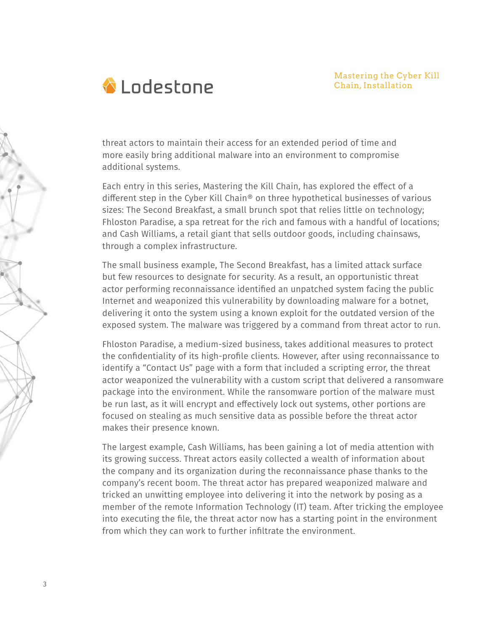

threat actors to maintain their access for an extended period of time and more easily bring additional malware into an environment to compromise additional systems.

Each entry in this series, Mastering the Kill Chain, has explored the effect of a different step in the Cyber Kill Chain® on three hypothetical businesses of various sizes: The Second Breakfast, a small brunch spot that relies little on technology; Fhloston Paradise, a spa retreat for the rich and famous with a handful of locations; and Cash Williams, a retail giant that sells outdoor goods, including chainsaws, through a complex infrastructure.

The small business example, The Second Breakfast, has a limited attack surface but few resources to designate for security. As a result, an opportunistic threat actor performing reconnaissance identified an unpatched system facing the public Internet and weaponized this vulnerability by downloading malware for a botnet, delivering it onto the system using a known exploit for the outdated version of the exposed system. The malware was triggered by a command from threat actor to run.

Fhloston Paradise, a medium-sized business, takes additional measures to protect the confidentiality of its high-profile clients. However, after using reconnaissance to identify a "Contact Us" page with a form that included a scripting error, the threat actor weaponized the vulnerability with a custom script that delivered a ransomware package into the environment. While the ransomware portion of the malware must be run last, as it will encrypt and effectively lock out systems, other portions are focused on stealing as much sensitive data as possible before the threat actor makes their presence known.

The largest example, Cash Williams, has been gaining a lot of media attention with its growing success. Threat actors easily collected a wealth of information about the company and its organization during the reconnaissance phase thanks to the company's recent boom. The threat actor has prepared weaponized malware and tricked an unwitting employee into delivering it into the network by posing as a member of the remote Information Technology (IT) team. After tricking the employee into executing the file, the threat actor now has a starting point in the environment from which they can work to further infiltrate the environment.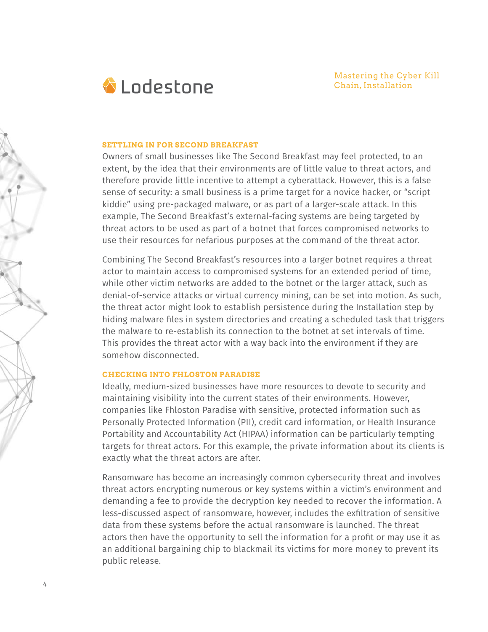

#### **SETTLING IN FOR SECOND BREAKFAST**

Owners of small businesses like The Second Breakfast may feel protected, to an extent, by the idea that their environments are of little value to threat actors, and therefore provide little incentive to attempt a cyberattack. However, this is a false sense of security: a small business is a prime target for a novice hacker, or "script kiddie" using pre-packaged malware, or as part of a larger-scale attack. In this example, The Second Breakfast's external-facing systems are being targeted by threat actors to be used as part of a botnet that forces compromised networks to use their resources for nefarious purposes at the command of the threat actor.

Combining The Second Breakfast's resources into a larger botnet requires a threat actor to maintain access to compromised systems for an extended period of time, while other victim networks are added to the botnet or the larger attack, such as denial-of-service attacks or virtual currency mining, can be set into motion. As such, the threat actor might look to establish persistence during the Installation step by hiding malware files in system directories and creating a scheduled task that triggers the malware to re-establish its connection to the botnet at set intervals of time. This provides the threat actor with a way back into the environment if they are somehow disconnected.

#### **CHECKING INTO FHLOSTON PARADISE**

Ideally, medium-sized businesses have more resources to devote to security and maintaining visibility into the current states of their environments. However, companies like Fhloston Paradise with sensitive, protected information such as Personally Protected Information (PII), credit card information, or Health Insurance Portability and Accountability Act (HIPAA) information can be particularly tempting targets for threat actors. For this example, the private information about its clients is exactly what the threat actors are after.

Ransomware has become an increasingly common cybersecurity threat and involves threat actors encrypting numerous or key systems within a victim's environment and demanding a fee to provide the decryption key needed to recover the information. A less-discussed aspect of ransomware, however, includes the exfiltration of sensitive data from these systems before the actual ransomware is launched. The threat actors then have the opportunity to sell the information for a profit or may use it as an additional bargaining chip to blackmail its victims for more money to prevent its public release.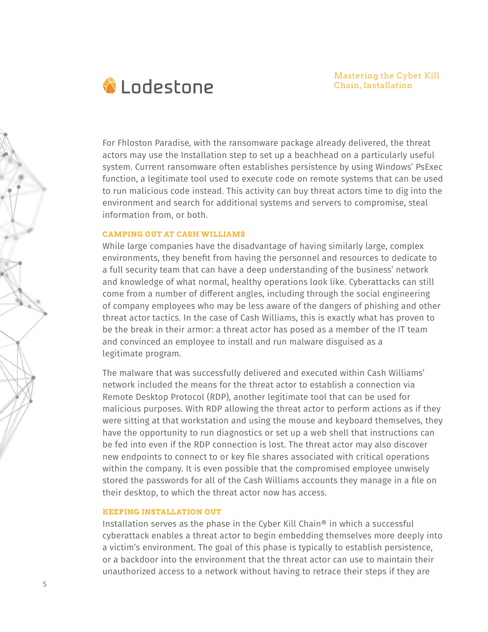

For Fhloston Paradise, with the ransomware package already delivered, the threat actors may use the Installation step to set up a beachhead on a particularly useful system. Current ransomware often establishes persistence by using Windows' PsExec function, a legitimate tool used to execute code on remote systems that can be used to run malicious code instead. This activity can buy threat actors time to dig into the environment and search for additional systems and servers to compromise, steal information from, or both.

#### **CAMPING OUT AT CASH WILLIAMS**

While large companies have the disadvantage of having similarly large, complex environments, they benefit from having the personnel and resources to dedicate to a full security team that can have a deep understanding of the business' network and knowledge of what normal, healthy operations look like. Cyberattacks can still come from a number of different angles, including through the social engineering of company employees who may be less aware of the dangers of phishing and other threat actor tactics. In the case of Cash Williams, this is exactly what has proven to be the break in their armor: a threat actor has posed as a member of the IT team and convinced an employee to install and run malware disguised as a legitimate program.

The malware that was successfully delivered and executed within Cash Williams' network included the means for the threat actor to establish a connection via Remote Desktop Protocol (RDP), another legitimate tool that can be used for malicious purposes. With RDP allowing the threat actor to perform actions as if they were sitting at that workstation and using the mouse and keyboard themselves, they have the opportunity to run diagnostics or set up a web shell that instructions can be fed into even if the RDP connection is lost. The threat actor may also discover new endpoints to connect to or key file shares associated with critical operations within the company. It is even possible that the compromised employee unwisely stored the passwords for all of the Cash Williams accounts they manage in a file on their desktop, to which the threat actor now has access.

## **KEEPING INSTALLATION OUT**

Installation serves as the phase in the Cyber Kill Chain® in which a successful cyberattack enables a threat actor to begin embedding themselves more deeply into a victim's environment. The goal of this phase is typically to establish persistence, or a backdoor into the environment that the threat actor can use to maintain their unauthorized access to a network without having to retrace their steps if they are

5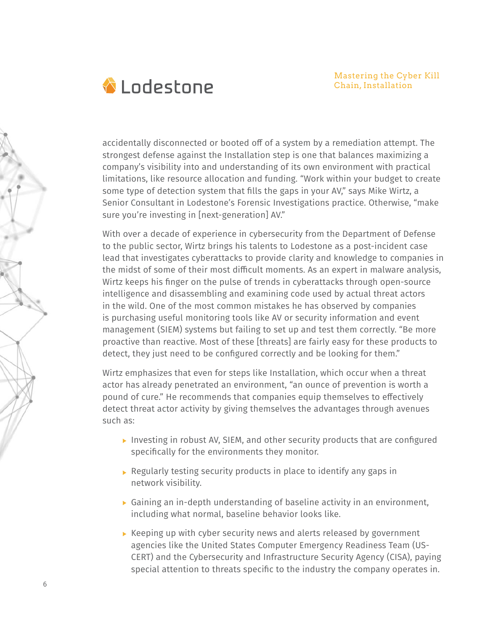

accidentally disconnected or booted off of a system by a remediation attempt. The strongest defense against the Installation step is one that balances maximizing a company's visibility into and understanding of its own environment with practical limitations, like resource allocation and funding. "Work within your budget to create some type of detection system that fills the gaps in your AV," says Mike Wirtz, a Senior Consultant in Lodestone's Forensic Investigations practice. Otherwise, "make sure you're investing in [next-generation] AV."

With over a decade of experience in cybersecurity from the Department of Defense to the public sector, Wirtz brings his talents to Lodestone as a post-incident case lead that investigates cyberattacks to provide clarity and knowledge to companies in the midst of some of their most difficult moments. As an expert in malware analysis, Wirtz keeps his finger on the pulse of trends in cyberattacks through open-source intelligence and disassembling and examining code used by actual threat actors in the wild. One of the most common mistakes he has observed by companies is purchasing useful monitoring tools like AV or security information and event management (SIEM) systems but failing to set up and test them correctly. "Be more proactive than reactive. Most of these [threats] are fairly easy for these products to detect, they just need to be configured correctly and be looking for them."

Wirtz emphasizes that even for steps like Installation, which occur when a threat actor has already penetrated an environment, "an ounce of prevention is worth a pound of cure." He recommends that companies equip themselves to effectively detect threat actor activity by giving themselves the advantages through avenues such as:

- Investing in robust AV, SIEM, and other security products that are configured specifically for the environments they monitor.
- Regularly testing security products in place to identify any gaps in network visibility.
- Gaining an in-depth understanding of baseline activity in an environment, including what normal, baseline behavior looks like.
- $\triangleright$  Keeping up with cyber security news and alerts released by government agencies like the United States Computer Emergency Readiness Team (US- CERT) and the Cybersecurity and Infrastructure Security Agency (CISA), paying special attention to threats specific to the industry the company operates in.